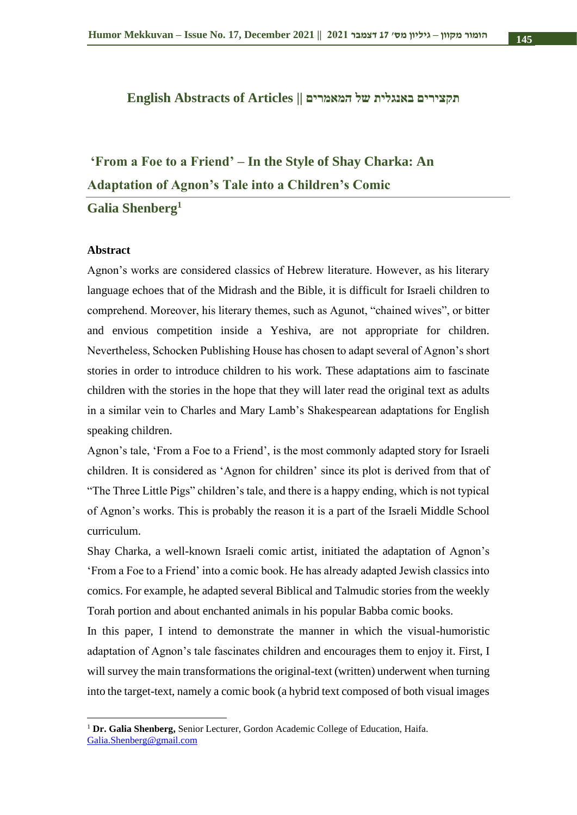#### **תקצירים באנגלית של המאמרים || Articles of Abstracts English**

# **'From a Foe to a Friend' – In the Style of Shay Charka: An Adaptation of Agnon's Tale into a Children's Comic**

**Galia Shenberg<sup>1</sup>**

#### **Abstract**

Agnon's works are considered classics of Hebrew literature. However, as his literary language echoes that of the Midrash and the Bible, it is difficult for Israeli children to comprehend. Moreover, his literary themes, such as Agunot, "chained wives", or bitter and envious competition inside a Yeshiva, are not appropriate for children. Nevertheless, Schocken Publishing House has chosen to adapt several of Agnon's short stories in order to introduce children to his work. These adaptations aim to fascinate children with the stories in the hope that they will later read the original text as adults in a similar vein to Charles and Mary Lamb's Shakespearean adaptations for English speaking children.

Agnon's tale, 'From a Foe to a Friend', is the most commonly adapted story for Israeli children. It is considered as 'Agnon for children' since its plot is derived from that of "The Three Little Pigs" children's tale, and there is a happy ending, which is not typical of Agnon's works. This is probably the reason it is a part of the Israeli Middle School curriculum.

Shay Charka, a well-known Israeli comic artist, initiated the adaptation of Agnon's 'From a Foe to a Friend' into a comic book. He has already adapted Jewish classics into comics. For example, he adapted several Biblical and Talmudic stories from the weekly Torah portion and about enchanted animals in his popular Babba comic books.

In this paper, I intend to demonstrate the manner in which the visual-humoristic adaptation of Agnon's tale fascinates children and encourages them to enjoy it. First, I will survey the main transformations the original-text (written) underwent when turning into the target-text, namely a comic book (a hybrid text composed of both visual images

<sup>1</sup> **Dr. Galia Shenberg,** Senior Lecturer, Gordon Academic College of Education, Haifa. [Galia.Shenberg@gmail.com](mailto:Galia.Shenberg@gmail.com)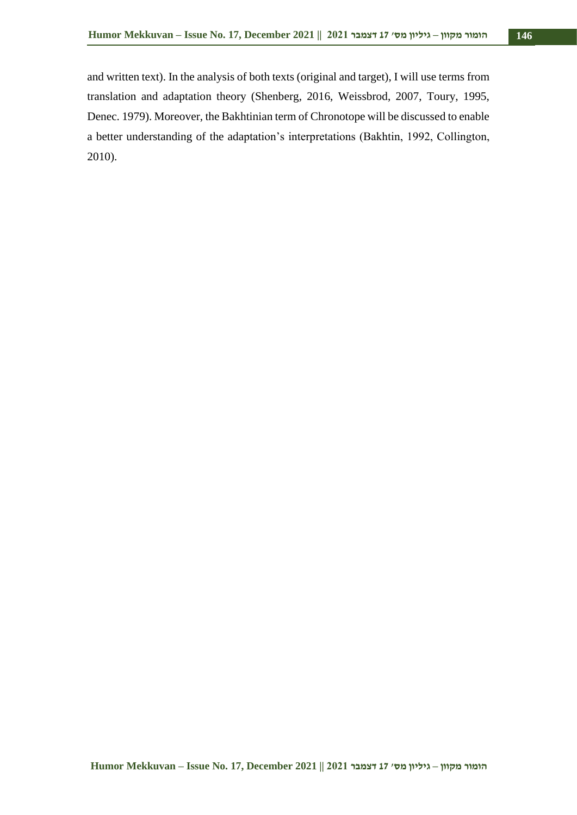and written text). In the analysis of both texts (original and target), I will use terms from translation and adaptation theory (Shenberg, 2016, Weissbrod, 2007, Toury, 1995, Denec. 1979). Moreover, the Bakhtinian term of Chronotope will be discussed to enable a better understanding of the adaptation's interpretations (Bakhtin, 1992, Collington, 2010).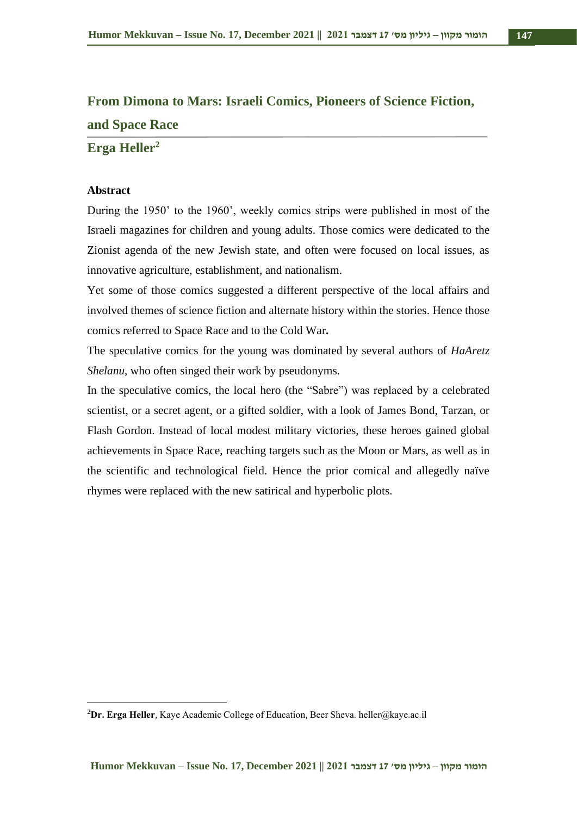## **From Dimona to Mars: Israeli Comics, Pioneers of Science Fiction, and Space Race**

#### **Erga Heller<sup>2</sup>**

#### **Abstract**

During the 1950' to the 1960', weekly comics strips were published in most of the Israeli magazines for children and young adults. Those comics were dedicated to the Zionist agenda of the new Jewish state, and often were focused on local issues, as innovative agriculture, establishment, and nationalism.

Yet some of those comics suggested a different perspective of the local affairs and involved themes of science fiction and alternate history within the stories. Hence those comics referred to Space Race and to the Cold War**.** 

The speculative comics for the young was dominated by several authors of *HaAretz Shelanu*, who often singed their work by pseudonyms.

In the speculative comics, the local hero (the "Sabre") was replaced by a celebrated scientist, or a secret agent, or a gifted soldier, with a look of James Bond, Tarzan, or Flash Gordon. Instead of local modest military victories, these heroes gained global achievements in Space Race, reaching targets such as the Moon or Mars, as well as in the scientific and technological field. Hence the prior comical and allegedly naïve rhymes were replaced with the new satirical and hyperbolic plots.

<sup>2</sup>**Dr. Erga Heller**, Kaye Academic College of Education, Beer Sheva. heller@kaye.ac.il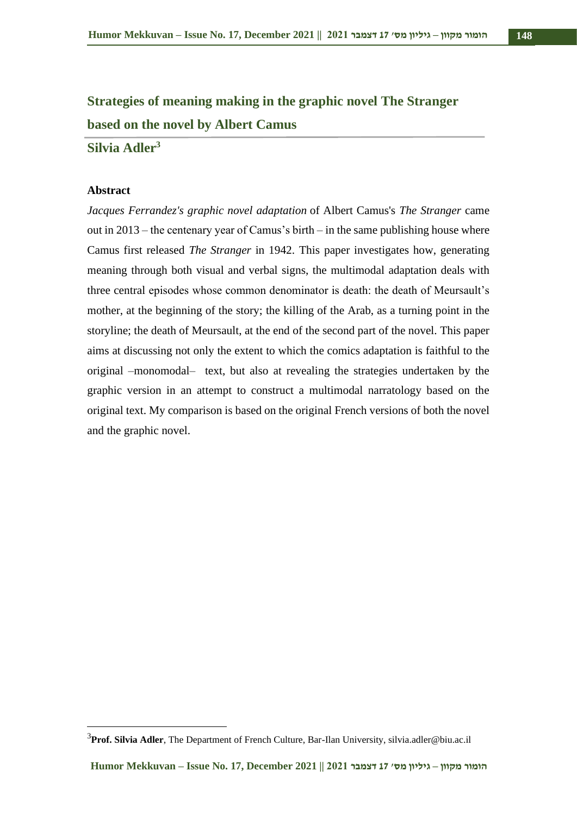## **Strategies of meaning making in the graphic novel The Stranger based on the novel by Albert Camus**

**Silvia Adler<sup>3</sup>**

#### **Abstract**

*Jacques Ferrandez's graphic novel adaptation* of Albert Camus's *The Stranger* came out in 2013 – the centenary year of Camus's birth – in the same publishing house where Camus first released *The Stranger* in 1942. This paper investigates how, generating meaning through both visual and verbal signs, the multimodal adaptation deals with three central episodes whose common denominator is death: the death of Meursault's mother, at the beginning of the story; the killing of the Arab, as a turning point in the storyline; the death of Meursault, at the end of the second part of the novel. This paper aims at discussing not only the extent to which the comics adaptation is faithful to the original –monomodal– text, but also at revealing the strategies undertaken by the graphic version in an attempt to construct a multimodal narratology based on the original text. My comparison is based on the original French versions of both the novel and the graphic novel.

<sup>3</sup>**Prof. Silvia Adler**, The Department of French Culture, Bar-Ilan University, silvia.adler@biu.ac.il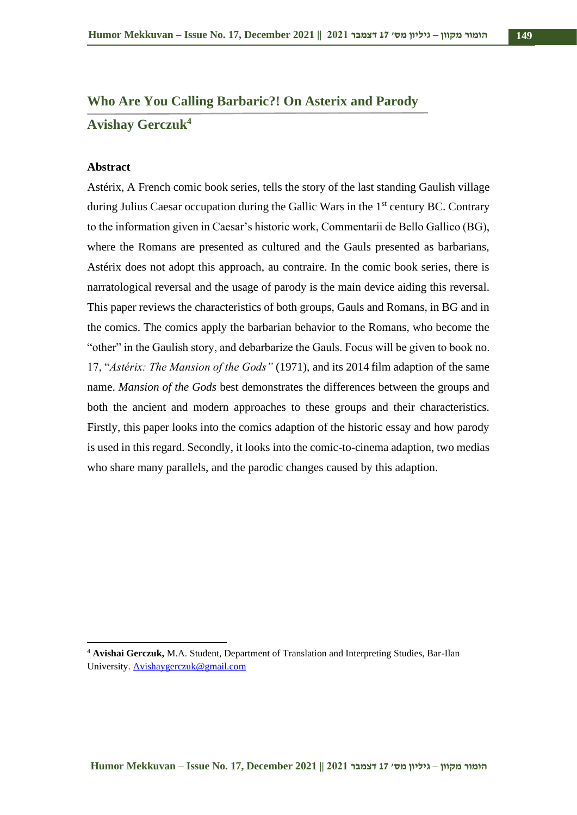## **Who Are You Calling Barbaric?! On Asterix and Parody Avishay Gerczuk<sup>4</sup>**

#### **Abstract**

Astérix, A French comic book series, tells the story of the last standing Gaulish village during Julius Caesar occupation during the Gallic Wars in the 1<sup>st</sup> century BC. Contrary to the information given in Caesar's historic work, Commentarii de Bello Gallico (BG), where the Romans are presented as cultured and the Gauls presented as barbarians, Astérix does not adopt this approach, au contraire. In the comic book series, there is narratological reversal and the usage of parody is the main device aiding this reversal. This paper reviews the characteristics of both groups, Gauls and Romans, in BG and in the comics. The comics apply the barbarian behavior to the Romans, who become the "other" in the Gaulish story, and debarbarize the Gauls. Focus will be given to book no. 17, "*Astérix: The Mansion of the Gods"* (1971), and its 2014 film adaption of the same name. *Mansion of the Gods* best demonstrates the differences between the groups and both the ancient and modern approaches to these groups and their characteristics. Firstly, this paper looks into the comics adaption of the historic essay and how parody is used in this regard. Secondly, it looks into the comic-to-cinema adaption, two medias who share many parallels, and the parodic changes caused by this adaption.

<sup>4</sup> **Avishai Gerczuk,** M.A. Student, Department of Translation and Interpreting Studies, Bar-Ilan University. [Avishaygerczuk@gmail.com](mailto:Avishaygerczuk@gmail.com)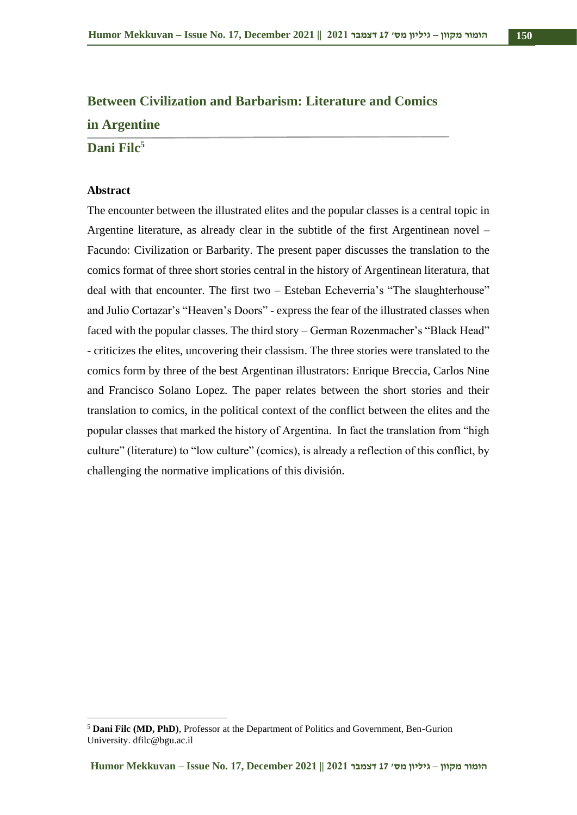## **Between Civilization and Barbarism: Literature and Comics in Argentine**

**Dani Filc<sup>5</sup>**

#### **Abstract**

The encounter between the illustrated elites and the popular classes is a central topic in Argentine literature, as already clear in the subtitle of the first Argentinean novel – Facundo: Civilization or Barbarity. The present paper discusses the translation to the comics format of three short stories central in the history of Argentinean literatura, that deal with that encounter. The first two – Esteban Echeverria's "The slaughterhouse" and Julio Cortazar's "Heaven's Doors" - express the fear of the illustrated classes when faced with the popular classes. The third story – German Rozenmacher's "Black Head" - criticizes the elites, uncovering their classism. The three stories were translated to the comics form by three of the best Argentinan illustrators: Enrique Breccia, Carlos Nine and Francisco Solano Lopez. The paper relates between the short stories and their translation to comics, in the political context of the conflict between the elites and the popular classes that marked the history of Argentina. In fact the translation from "high culture" (literature) to "low culture" (comics), is already a reflection of this conflict, by challenging the normative implications of this división.

<sup>5</sup> **Dani Filc (MD, PhD)**, Professor at the Department of Politics and Government, Ben-Gurion University. dfilc@bgu.ac.il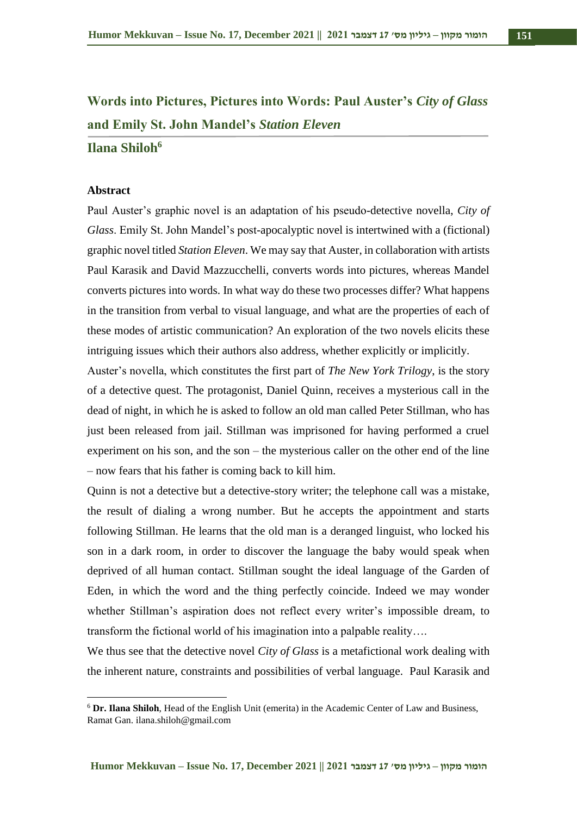## **Words into Pictures, Pictures into Words: Paul Auster's** *City of Glass* **and Emily St. John Mandel's** *Station Eleven*

#### **Ilana Shiloh<sup>6</sup>**

#### **Abstract**

Paul Auster's graphic novel is an adaptation of his pseudo-detective novella, *City of Glass*. Emily St. John Mandel's post-apocalyptic novel is intertwined with a (fictional) graphic novel titled *Station Eleven*. We may say that Auster, in collaboration with artists Paul Karasik and David Mazzucchelli, converts words into pictures, whereas Mandel converts pictures into words. In what way do these two processes differ? What happens in the transition from verbal to visual language, and what are the properties of each of these modes of artistic communication? An exploration of the two novels elicits these intriguing issues which their authors also address, whether explicitly or implicitly.

Auster's novella, which constitutes the first part of *The New York Trilogy*, is the story of a detective quest. The protagonist, Daniel Quinn, receives a mysterious call in the dead of night, in which he is asked to follow an old man called Peter Stillman, who has just been released from jail. Stillman was imprisoned for having performed a cruel experiment on his son, and the son – the mysterious caller on the other end of the line – now fears that his father is coming back to kill him.

Quinn is not a detective but a detective-story writer; the telephone call was a mistake, the result of dialing a wrong number. But he accepts the appointment and starts following Stillman. He learns that the old man is a deranged linguist, who locked his son in a dark room, in order to discover the language the baby would speak when deprived of all human contact. Stillman sought the ideal language of the Garden of Eden, in which the word and the thing perfectly coincide. Indeed we may wonder whether Stillman's aspiration does not reflect every writer's impossible dream, to transform the fictional world of his imagination into a palpable reality….

We thus see that the detective novel *City of Glass* is a metafictional work dealing with the inherent nature, constraints and possibilities of verbal language. Paul Karasik and

<sup>6</sup> **Dr. Ilana Shiloh**, Head of the English Unit (emerita) in the Academic Center of Law and Business, Ramat Gan. ilana.shiloh@gmail.com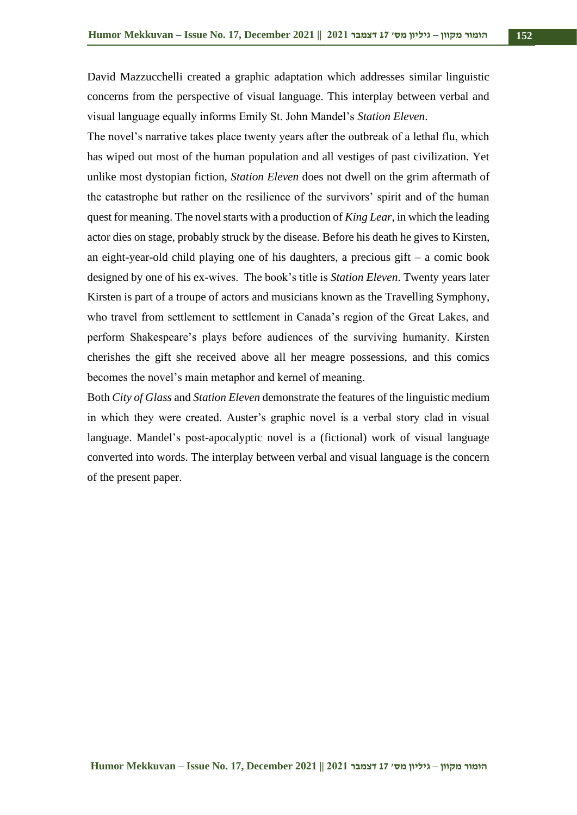David Mazzucchelli created a graphic adaptation which addresses similar linguistic concerns from the perspective of visual language. This interplay between verbal and visual language equally informs Emily St. John Mandel's *Station Eleven*.

The novel's narrative takes place twenty years after the outbreak of a lethal flu, which has wiped out most of the human population and all vestiges of past civilization. Yet unlike most dystopian fiction, *Station Eleven* does not dwell on the grim aftermath of the catastrophe but rather on the resilience of the survivors' spirit and of the human quest for meaning. The novel starts with a production of *King Lear*, in which the leading actor dies on stage, probably struck by the disease. Before his death he gives to Kirsten, an eight-year-old child playing one of his daughters, a precious gift – a comic book designed by one of his ex-wives. The book's title is *Station Eleven*. Twenty years later Kirsten is part of a troupe of actors and musicians known as the Travelling Symphony, who travel from settlement to settlement in Canada's region of the Great Lakes, and perform Shakespeare's plays before audiences of the surviving humanity. Kirsten cherishes the gift she received above all her meagre possessions, and this comics becomes the novel's main metaphor and kernel of meaning.

Both *City of Glass* and *Station Eleven* demonstrate the features of the linguistic medium in which they were created. Auster's graphic novel is a verbal story clad in visual language. Mandel's post-apocalyptic novel is a (fictional) work of visual language converted into words. The interplay between verbal and visual language is the concern of the present paper.